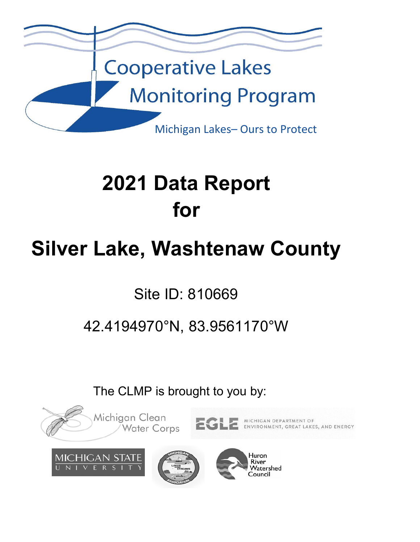

# **2021 Data Report for**

# **Silver Lake, Washtenaw County**

Site ID: 810669

## 42.4194970°N, 83.9561170°W

The CLMP is brought to you by:

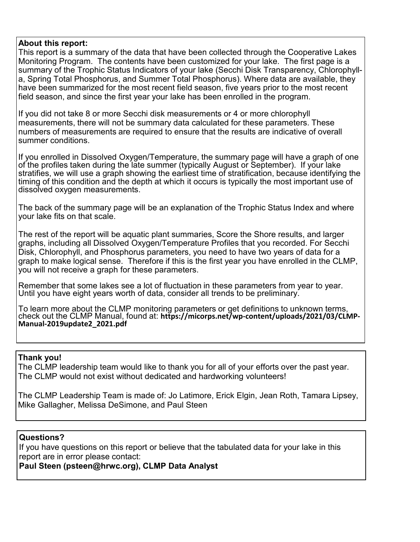#### **About this report:**

This report is a summary of the data that have been collected through the Cooperative Lakes Monitoring Program. The contents have been customized for your lake. The first page is a summary of the Trophic Status Indicators of your lake (Secchi Disk Transparency, Chlorophylla, Spring Total Phosphorus, and Summer Total Phosphorus). Where data are available, they have been summarized for the most recent field season, five years prior to the most recent field season, and since the first year your lake has been enrolled in the program.

If you did not take 8 or more Secchi disk measurements or 4 or more chlorophyll measurements, there will not be summary data calculated for these parameters. These numbers of measurements are required to ensure that the results are indicative of overall summer conditions.

If you enrolled in Dissolved Oxygen/Temperature, the summary page will have a graph of one of the profiles taken during the late summer (typically August or September). If your lake stratifies, we will use a graph showing the earliest time of stratification, because identifying the timing of this condition and the depth at which it occurs is typically the most important use of dissolved oxygen measurements.

The back of the summary page will be an explanation of the Trophic Status Index and where your lake fits on that scale.

The rest of the report will be aquatic plant summaries, Score the Shore results, and larger graphs, including all Dissolved Oxygen/Temperature Profiles that you recorded. For Secchi Disk, Chlorophyll, and Phosphorus parameters, you need to have two years of data for a graph to make logical sense. Therefore if this is the first year you have enrolled in the CLMP, you will not receive a graph for these parameters.

Remember that some lakes see a lot of fluctuation in these parameters from year to year.<br>Until you have eight years worth of data, consider all trends to be preliminary.

To learn more about the CLMP monitoring parameters or get definitions to unknown terms, check out the CLMP Manual, found at: **https://micorps.net/wp‐content/uploads/2021/03/CLMP‐ Manual‐2019update2\_2021.pdf**

#### **Thank you!**

The CLMP leadership team would like to thank you for all of your efforts over the past year. The CLMP would not exist without dedicated and hardworking volunteers!

The CLMP Leadership Team is made of: Jo Latimore, Erick Elgin, Jean Roth, Tamara Lipsey, Mike Gallagher, Melissa DeSimone, and Paul Steen

#### **Questions?**

If you have questions on this report or believe that the tabulated data for your lake in this report are in error please contact:

**Paul Steen (psteen@hrwc.org), CLMP Data Analyst**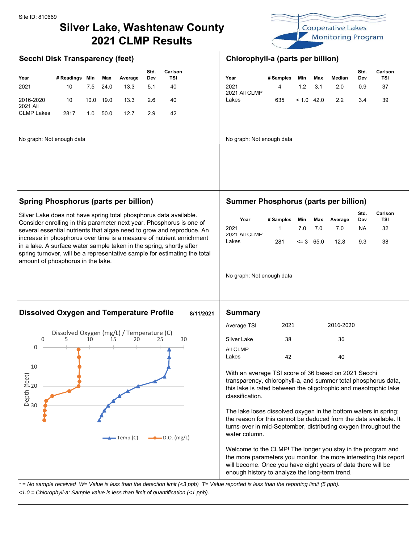### **Silver Lake, Washtenaw County 2021 CLMP Results**



|                       |            |      |      |         | Std. | Carlson |                       |           |       |      |        | Std. | Carls |
|-----------------------|------------|------|------|---------|------|---------|-----------------------|-----------|-------|------|--------|------|-------|
| Year                  | # Readings | Min  | Max  | Average | Dev  | TSI     | Year                  | # Samples | Min   | Max  | Median | Dev  | ΤS    |
| 2021                  | 10         | 7.5  | 24.0 | 13.3    | 5.1  | 40      | 2021<br>2021 All CLMP |           | 1.2   | -3.1 | 2.0    | 0.9  | 37    |
| 2016-2020<br>2021 All | 10         | 10.0 | 19.0 | 13.3    | 2.6  | 40      | Lakes                 | 635       | < 1.0 | 42.0 | 2.2    | 3.4  | 39    |
| <b>CLMP Lakes</b>     | 2817       | 1.0  | 50.0 | 12.7    | 2.9  | 42      |                       |           |       |      |        |      |       |

No graph: Not enough data No graph: Not enough data

#### **Secchi Disk Transparency (feet) Chlorophyll-a (parts per billion)**

| ırlson<br>TSI | Year                  | # Samples | Min | Max             | Median           | Std.<br>Dev | <b>Carlson</b><br>TSI |
|---------------|-----------------------|-----------|-----|-----------------|------------------|-------------|-----------------------|
| 40            | 2021<br>2021 All CLMP | $\sim$ 4  |     | $1.2 \quad 3.1$ | 2.0              | 0.9         | -37                   |
| 40            | Lakes                 | 635       |     |                 | $< 1.0$ 42.0 2.2 | -3.4        | 39                    |

Silver Lake does not have spring total phosphorus data available. Consider enrolling in this parameter next year. Phosphorus is one of several essential nutrients that algae need to grow and reproduce. An increase in phosphorus over time is a measure of nutrient enrichment in a lake. A surface water sample taken in the spring, shortly after spring turnover, will be a representative sample for estimating the total amount of phosphorus in the lake.

#### **Spring Phosphorus (parts per billion) Summer Phosphorus (parts per billion)**

| Year                  | # Samples   | Min     |               | Max Average | Std.<br>Dev | Carlson<br>TSI |
|-----------------------|-------------|---------|---------------|-------------|-------------|----------------|
| 2021<br>2021 All CLMP | $\mathbf 1$ | 7.0 7.0 |               | 7.0         | NA.         | 32             |
| Lakes                 | 281         |         | $\leq 3$ 65.0 | 12.8        | 93          | 38             |

No graph: Not enough data

#### **Dissolved Oxygen and Temperature Profile 8/11/2021 Summary**



| Average TSI        | 2021 | 2016-2020 |
|--------------------|------|-----------|
| Silver Lake        | 38   | 36        |
| All CLMP<br>I akes | 17   | 40        |

With an average TSI score of 36 based on 2021 Secchi transparency, chlorophyll-a, and summer total phosphorus data, this lake is rated between the oligotrophic and mesotrophic lake classification.

The lake loses dissolved oxygen in the bottom waters in spring; the reason for this cannot be deduced from the data available. It turns-over in mid-September, distributing oxygen throughout the water column.

Welcome to the CLMP! The longer you stay in the program and the more parameters you monitor, the more interesting this report will become. Once you have eight years of data there will be enough history to analyze the long-term trend.

*\* = No sample received W= Value is less than the detection limit (<3 ppb) T= Value reported is less than the reporting limit (5 ppb).*

*<1.0 = Chlorophyll-a: Sample value is less than limit of quantification (<1 ppb).*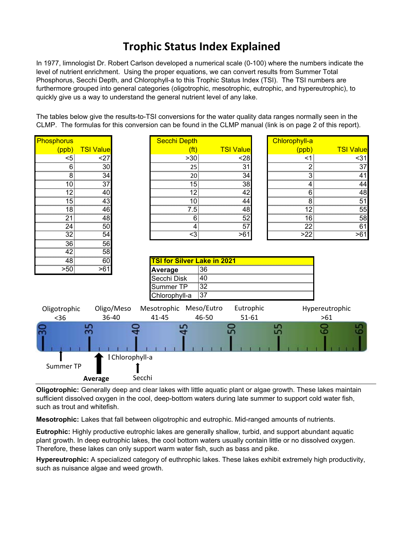### **Trophic Status Index Explained**

In 1977, limnologist Dr. Robert Carlson developed a numerical scale (0-100) where the numbers indicate the level of nutrient enrichment. Using the proper equations, we can convert results from Summer Total Phosphorus, Secchi Depth, and Chlorophyll-a to this Trophic Status Index (TSI). The TSI numbers are furthermore grouped into general categories (oligotrophic, mesotrophic, eutrophic, and hypereutrophic), to quickly give us a way to understand the general nutrient level of any lake.

The tables below give the results-to-TSI conversions for the water quality data ranges normally seen in the CLMP. The formulas for this conversion can be found in the CLMP manual (link is on page 2 of this report).

| Phosphorus   |                  |                 | <b>Secchi Depth</b>    |                                      |                    | <b>Chlorophyll-a</b>       |                  |
|--------------|------------------|-----------------|------------------------|--------------------------------------|--------------------|----------------------------|------------------|
| (ppb)        | <b>TSI Value</b> |                 |                        | (ft)                                 | <b>TSI Value</b>   | (ppb)                      | <b>TSI Value</b> |
| <5           | <27              |                 |                        | >30                                  | <28                |                            | <31              |
|              | 30               |                 |                        |                                      | 31                 |                            | 37               |
|              | <br>34           |                 |                        | <br>20                               | <br>34             |                            | ,,,,,,,,<br>41   |
|              | ,,,,,,,,,,<br>37 |                 |                        |                                      | ,,,,,,,,,<br>38    |                            |                  |
|              | 40<br>mmu        |                 |                        |                                      | ,,,,,,,,<br>42<br> |                            | шш<br>48<br>mmun |
|              | 43<br>mmu        |                 |                        |                                      | 44<br>mmu          |                            | 51<br>mmu        |
| ۲.           | 46<br>           |                 |                        |                                      | 48<br>             |                            | 55<br>,,,,,,,,,  |
|              | 48<br>           |                 |                        |                                      | 52<br>,,,,,,,,     | 6                          | 58<br>,,,,,,,,   |
|              | 50<br>,,,,,,,,,  |                 |                        |                                      | 57<br>,,,,,,,,,,,  |                            | 61               |
| 32           | 54<br>           |                 |                        | <3                                   | >61                | $\overline{\overline{22}}$ | $-61$            |
| 36           | 56<br>,,,,,,,,   |                 |                        |                                      |                    |                            |                  |
|              | 58               |                 |                        |                                      |                    |                            |                  |
| 48           | 60               |                 |                        | <u>  TSI for Silver Lake in 2021</u> |                    |                            |                  |
| >50          | >61              |                 | <u>Average</u>         | 36                                   |                    |                            |                  |
|              |                  |                 | Secchi Disk            | 40                                   |                    |                            |                  |
|              |                  |                 | Summer TP              | 32                                   |                    |                            |                  |
|              |                  |                 | Chlorophyll-a          | - 37                                 |                    |                            |                  |
| Oligotrophic |                  | Oligo/Meso      | Mesotrophic Meso/Eutro |                                      | Eutrophic          |                            | Hypereutrophic   |
| $36$         | 36-40            |                 | 41-45                  | 46-50                                | $51 - 61$          |                            | $>61$            |
|              | 55               |                 |                        |                                      | ន                  | 55                         |                  |
|              |                  | I Chlorophyll-a |                        |                                      |                    |                            |                  |
| Summer TP    |                  |                 |                        |                                      |                    |                            |                  |
|              | Average          | Secchi          |                        |                                      |                    |                            |                  |

**Oligotrophic:** Generally deep and clear lakes with little aquatic plant or algae growth. These lakes maintain sufficient dissolved oxygen in the cool, deep-bottom waters during late summer to support cold water fish, such as trout and whitefish.

**Mesotrophic:** Lakes that fall between oligotrophic and eutrophic. Mid-ranged amounts of nutrients.

**Eutrophic:** Highly productive eutrophic lakes are generally shallow, turbid, and support abundant aquatic plant growth. In deep eutrophic lakes, the cool bottom waters usually contain little or no dissolved oxygen. Therefore, these lakes can only support warm water fish, such as bass and pike.

**Hypereutrophic:** A specialized category of euthrophic lakes. These lakes exhibit extremely high productivity, such as nuisance algae and weed growth.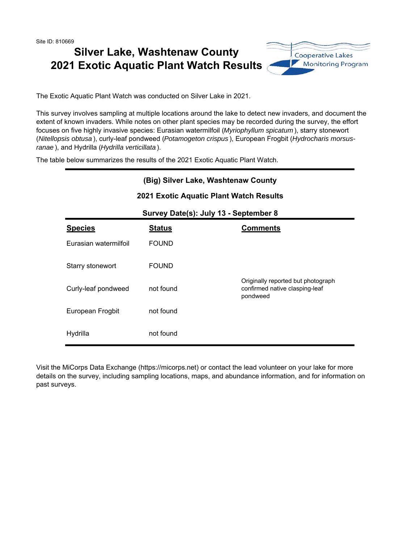Site ID: 810669

### **Silver Lake, Washtenaw County 2021 Exotic Aquatic Plant Watch Results**



The Exotic Aquatic Plant Watch was conducted on Silver Lake in 2021.

This survey involves sampling at multiple locations around the lake to detect new invaders, and document the extent of known invaders. While notes on other plant species may be recorded during the survey, the effort focuses on five highly invasive species: Eurasian watermilfoil (*Myriophyllum spicatum* ), starry stonewort (*Nitellopsis obtusa* ), curly-leaf pondweed (*Potamogeton crispus* ), European Frogbit (*Hydrocharis morsusranae* ), and Hydrilla (*Hydrilla verticillata* ).

The table below summarizes the results of the 2021 Exotic Aquatic Plant Watch.

## Hydrilla not found Starry stonewort FOUND Curly-leaf pondweed not found Originally reported but photograph confirmed native clasping-leaf pondweed European Frogbit not found **2021 Exotic Aquatic Plant Watch Results Survey Date(s): July 13 - September 8 Species Status Comments** Eurasian watermilfoil FOUND **(Big) Silver Lake, Washtenaw County**

Visit the MiCorps Data Exchange (https://micorps.net) or contact the lead volunteer on your lake for more details on the survey, including sampling locations, maps, and abundance information, and for information on past surveys.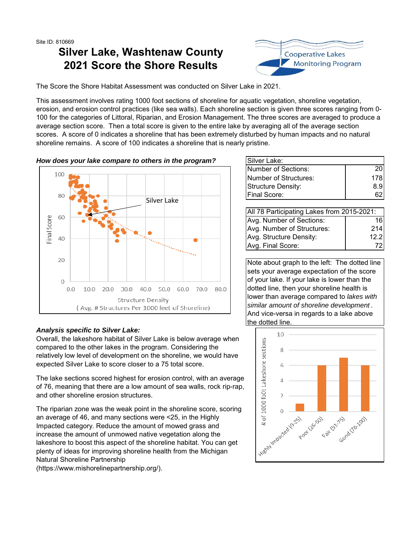### **Silver Lake, Washtenaw County 2021 Score the Shore Results**



The Score the Shore Habitat Assessment was conducted on Silver Lake in 2021.

This assessment involves rating 1000 foot sections of shoreline for aquatic vegetation, shoreline vegetation, erosion, and erosion control practices (like sea walls). Each shoreline section is given three scores ranging from 0- 100 for the categories of Littoral, Riparian, and Erosion Management. The three scores are averaged to produce a average section score. Then a total score is given to the entire lake by averaging all of the average section scores. A score of 0 indicates a shoreline that has been extremely disturbed by human impacts and no natural shoreline remains. A score of 100 indicates a shoreline that is nearly pristine.





#### *Analysis specific to Silver Lake:*

Overall, the lakeshore habitat of Silver Lake is below average when compared to the other lakes in the program. Considering the relatively low level of development on the shoreline, we would have expected Silver Lake to score closer to a 75 total score.

The lake sections scored highest for erosion control, with an average of 76, meaning that there are a low amount of sea walls, rock rip-rap, and other shoreline erosion structures.

The riparian zone was the weak point in the shoreline score, scoring an average of 46, and many sections were <25, in the Highly Impacted category. Reduce the amount of mowed grass and increase the amount of unmowed native vegetation along the lakeshore to boost this aspect of the shoreline habitat. You can get plenty of ideas for improving shoreline health from the Michigan Natural Shoreline Partnership

(https://www.mishorelinepartnership.org/).

| Silver Lake:              |      |
|---------------------------|------|
| Number of Sections:       | 201  |
| Number of Structures:     | 178I |
| <b>Structure Density:</b> | 8.91 |
| Final Score:              |      |

| All 78 Participating Lakes from 2015-2021: |                   |  |  |
|--------------------------------------------|-------------------|--|--|
| Avg. Number of Sections:                   | 16 <sup>1</sup>   |  |  |
| Avg. Number of Structures:                 | 214               |  |  |
| Avg. Structure Density:                    | 12.2 <sub>1</sub> |  |  |
| Avg. Final Score:                          | 72 I              |  |  |

Note about graph to the left: The dotted line sets your average expectation of the score of your lake. If your lake is lower than the dotted line, then your shoreline health is lower than average compared to *lakes with similar amount of shoreline development* . And vice-versa in regards to a lake above the dotted line.

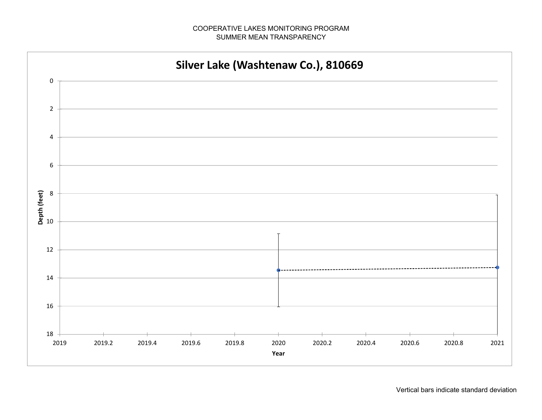#### COOPERATIVE LAKES MONITORING PROGRAMSUMMER MEAN TRANSPARENCY

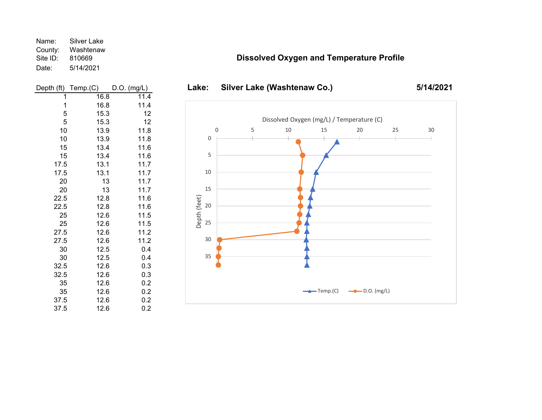Name: Silver Lake County: Washtenaw Site ID: 810669 Date: 5/14/2021



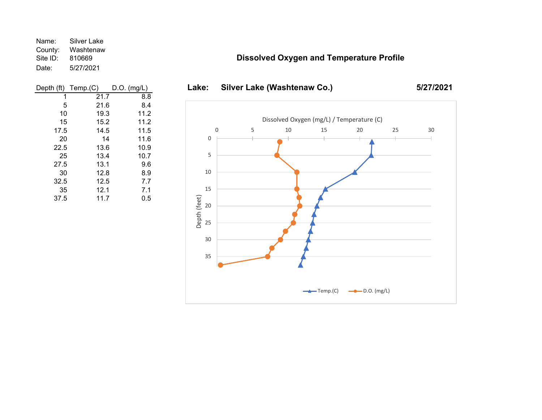Name: Silver Lake County: Washtenaw<br>Site ID: 810669 810669 Date: 5/27/2021

#### **Dissolved Oxygen and Temperature Profile**

| Depth (ft) | Temp.(C) | $D.O.$ (mg/L) |
|------------|----------|---------------|
| 1          | 21.7     | 8.8           |
| 5          | 21.6     | 8.4           |
| 10         | 19.3     | 11.2          |
| 15         | 15.2     | 11.2          |
| 17.5       | 14.5     | 11.5          |
| 20         | 14       | 11.6          |
| 22.5       | 13.6     | 10.9          |
| 25         | 13.4     | 10.7          |
| 27.5       | 13.1     | 9.6           |
| 30         | 12.8     | 8.9           |
| 32.5       | 12.5     | 7.7           |
| 35         | 12.1     | 7.1           |
| 37.5       | 11.7     | 0.5           |



## Lake: Silver Lake (Washtenaw Co.)

**5/27/2021**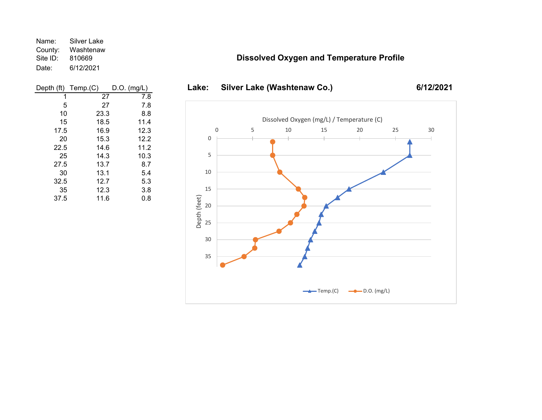Name: Silver Lake County: Washtenaw<br>Site ID: 810669 810669 Date: 6/12/2021

| Temp.(C) | $D.O.$ (mg/L) |
|----------|---------------|
| 27       | 7.8           |
| 27       | 7.8           |
| 23.3     | 8.8           |
| 18.5     | 11.4          |
| 16.9     | 12.3          |
| 15.3     | 12.2          |
| 14.6     | 11.2          |
| 14.3     | 10.3          |
| 13.7     | 8.7           |
| 13.1     | 5.4           |
| 12.7     | 5.3           |
| 12.3     | 3.8           |
| 11.6     | 0.8           |
|          |               |

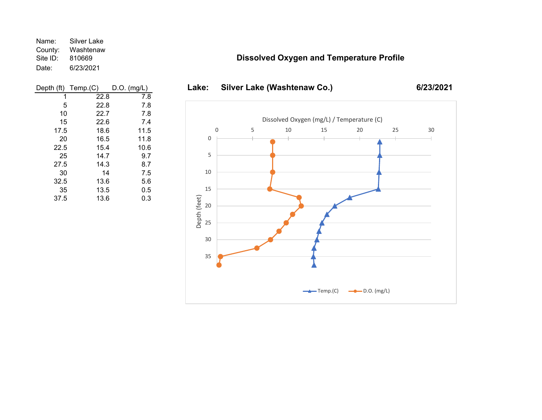Name: Silver Lake County: Washtenaw<br>Site ID: 810669 810669 Date: 6/23/2021

| Depth (ft) | Temp(C) | $D.O.$ (mg/L) |
|------------|---------|---------------|
| 1          | 22.8    | 7.8           |
| 5          | 22.8    | 7.8           |
| 10         | 22.7    | 7.8           |
| 15         | 22.6    | 7.4           |
| 17.5       | 18.6    | 11.5          |
| 20         | 16.5    | 11.8          |
| 22.5       | 15.4    | 10.6          |
| 25         | 14.7    | 9.7           |
| 27.5       | 14.3    | 8.7           |
| 30         | 14      | 7.5           |
| 32.5       | 13.6    | 5.6           |
| 35         | 13.5    | 0.5           |
| 37.5       | 13.6    | 0.3           |

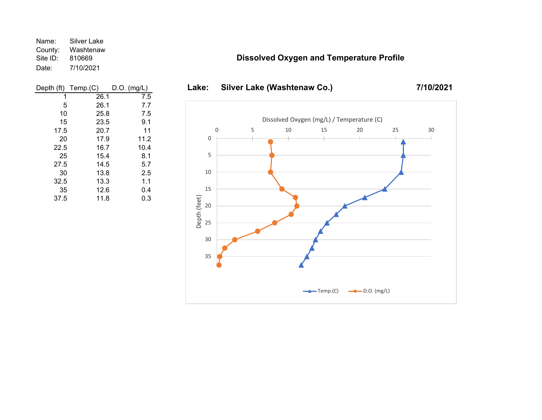Name: Silver Lake County: Washtenaw<br>Site ID: 810669 810669 Date: 7/10/2021

| Depth (ft) | Temp(C) | $D.O.$ (mg/L) |
|------------|---------|---------------|
| 1          | 26.1    | 7.5           |
| 5          | 26.1    | 7.7           |
| 10         | 25.8    | 7.5           |
| 15         | 23.5    | 9.1           |
| 17.5       | 20.7    | 11            |
| 20         | 17.9    | 11.2          |
| 22.5       | 16.7    | 10.4          |
| 25         | 15.4    | 8.1           |
| 27.5       | 14.5    | 5.7           |
| 30         | 13.8    | 2.5           |
| 32.5       | 13.3    | 1.1           |
| 35         | 12.6    | 0.4           |
| 37.5       | 11.8    | 0.3           |

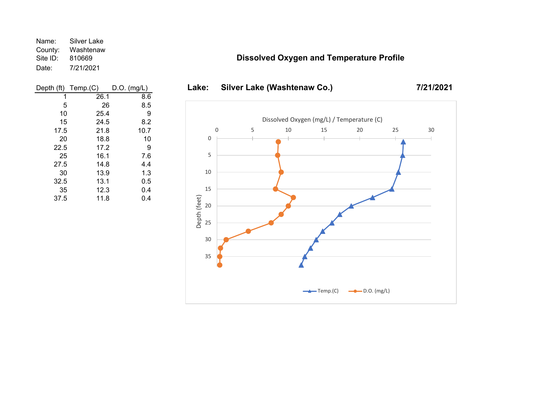Name: Silver Lake County: Washtenaw<br>Site ID: 810669 810669 Date: 7/21/2021

| Depth (ft) | Temp.(C) | $D.O.$ (mg/L) |
|------------|----------|---------------|
| 1          | 26.1     | 8.6           |
| 5          | 26       | 8.5           |
| 10         | 25.4     | 9             |
| 15         | 24.5     | 8.2           |
| 17.5       | 21.8     | 10.7          |
| 20         | 18.8     | 10            |
| 22.5       | 17.2     | 9             |
| 25         | 16.1     | 7.6           |
| 27.5       | 14.8     | 4.4           |
| 30         | 13.9     | 1.3           |
| 32.5       | 13.1     | 0.5           |
| 35         | 12.3     | 0.4           |
| 37.5       | 11.8     | 0.4           |

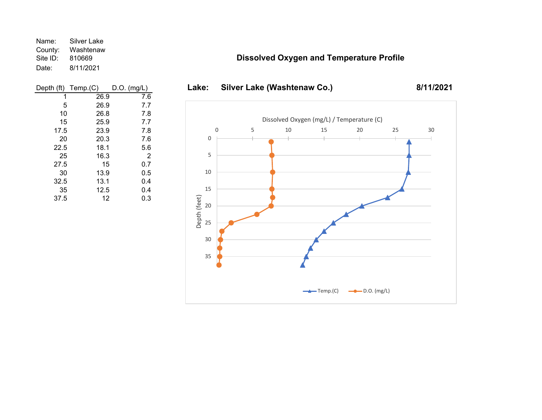Name: Silver Lake County: Washtenaw<br>Site ID: 810669 810669 Date: 8/11/2021

### **Dissolved Oxygen and Temperature Profile**

**8/11/2021**

| Depth (ft) | Temp.(C) | $D.O.$ (mg/L)  |
|------------|----------|----------------|
| 1          | 26.9     | 7.6            |
| 5          | 26.9     | 7.7            |
| 10         | 26.8     | 7.8            |
| 15         | 25.9     | 7.7            |
| 17.5       | 23.9     | 7.8            |
| 20         | 20.3     | 7.6            |
| 22.5       | 18.1     | 5.6            |
| 25         | 16.3     | $\overline{2}$ |
| 27.5       | 15       | 0.7            |
| 30         | 13.9     | 0.5            |
| 32.5       | 13.1     | 0.4            |
| 35         | 12.5     | 0.4            |
| 37.5       | 12       | 0.3            |

## Lake: Silver Lake (Washtenaw Co.) 0510 15 20 25 30 35 0 5 10 15 20 25 30 Depth (feet) Dissolved Oxygen (mg/L) / Temperature (C)  $\leftarrow$  Temp.(C)  $\leftarrow$  D.O. (mg/L)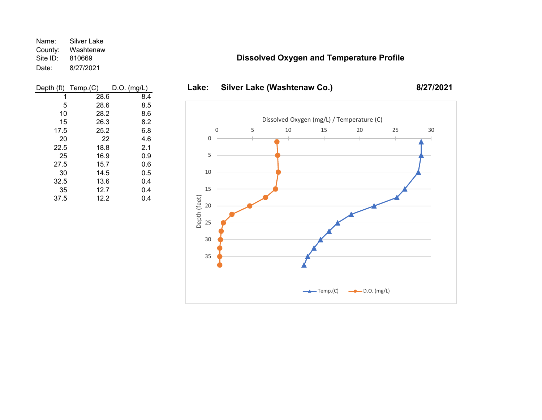Name: Silver Lake County: Washtenaw<br>Site ID: 810669 810669 Date: 8/27/2021

| Depth (ft) | Temp.(C) | $D.O.$ (mg/L) |
|------------|----------|---------------|
| 1          | 28.6     | 8.4           |
| 5          | 28.6     | 8.5           |
| 10         | 28.2     | 8.6           |
| 15         | 26.3     | 8.2           |
| 17.5       | 25.2     | 6.8           |
| 20         | 22       | 4.6           |
| 22.5       | 18.8     | 2.1           |
| 25         | 16.9     | 0.9           |
| 27.5       | 15.7     | 0.6           |
| 30         | 14.5     | 0.5           |
| 32.5       | 13.6     | 0.4           |
| 35         | 12.7     | 0.4           |
| 37.5       | 12.2     | 0.4           |